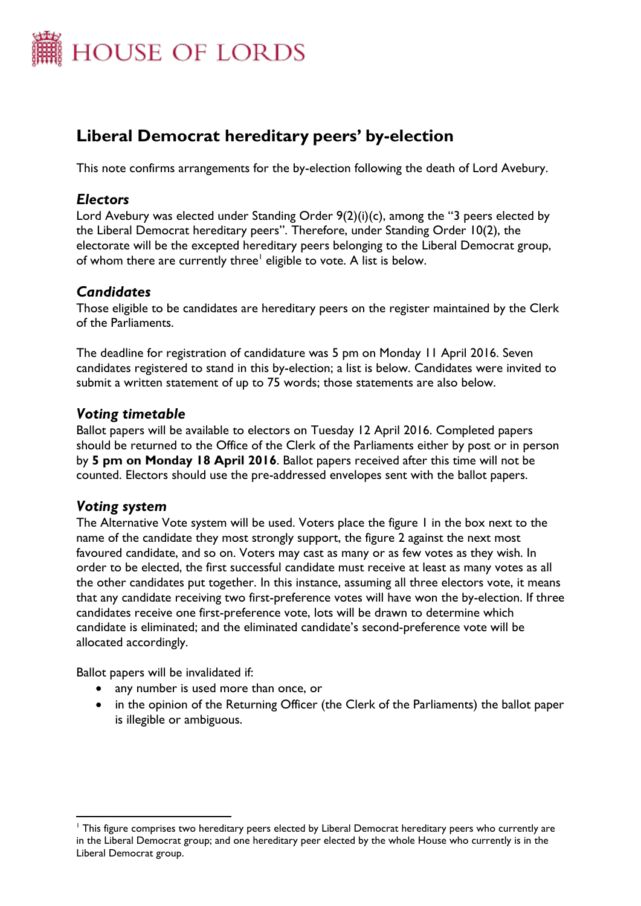

# **Liberal Democrat hereditary peers' by-election**

This note confirms arrangements for the by-election following the death of Lord Avebury.

## *Electors*

Lord Avebury was elected under Standing Order 9(2)(i)(c), among the "3 peers elected by the Liberal Democrat hereditary peers". Therefore, under Standing Order 10(2), the electorate will be the excepted hereditary peers belonging to the Liberal Democrat group, of whom there are currently three<sup>l</sup> eligible to vote. A list is below.

## *Candidates*

Those eligible to be candidates are hereditary peers on the register maintained by the Clerk of the Parliaments.

The deadline for registration of candidature was 5 pm on Monday 11 April 2016. Seven candidates registered to stand in this by-election; a list is below. Candidates were invited to submit a written statement of up to 75 words; those statements are also below.

## *Voting timetable*

Ballot papers will be available to electors on Tuesday 12 April 2016. Completed papers should be returned to the Office of the Clerk of the Parliaments either by post or in person by **5 pm on Monday 18 April 2016**. Ballot papers received after this time will not be counted. Electors should use the pre-addressed envelopes sent with the ballot papers.

## *Voting system*

 $\overline{a}$ 

The Alternative Vote system will be used. Voters place the figure 1 in the box next to the name of the candidate they most strongly support, the figure 2 against the next most favoured candidate, and so on. Voters may cast as many or as few votes as they wish. In order to be elected, the first successful candidate must receive at least as many votes as all the other candidates put together. In this instance, assuming all three electors vote, it means that any candidate receiving two first-preference votes will have won the by-election. If three candidates receive one first-preference vote, lots will be drawn to determine which candidate is eliminated; and the eliminated candidate's second-preference vote will be allocated accordingly.

Ballot papers will be invalidated if:

- any number is used more than once, or
- in the opinion of the Returning Officer (the Clerk of the Parliaments) the ballot paper is illegible or ambiguous.

<sup>&</sup>lt;sup>1</sup> This figure comprises two hereditary peers elected by Liberal Democrat hereditary peers who currently are in the Liberal Democrat group; and one hereditary peer elected by the whole House who currently is in the Liberal Democrat group.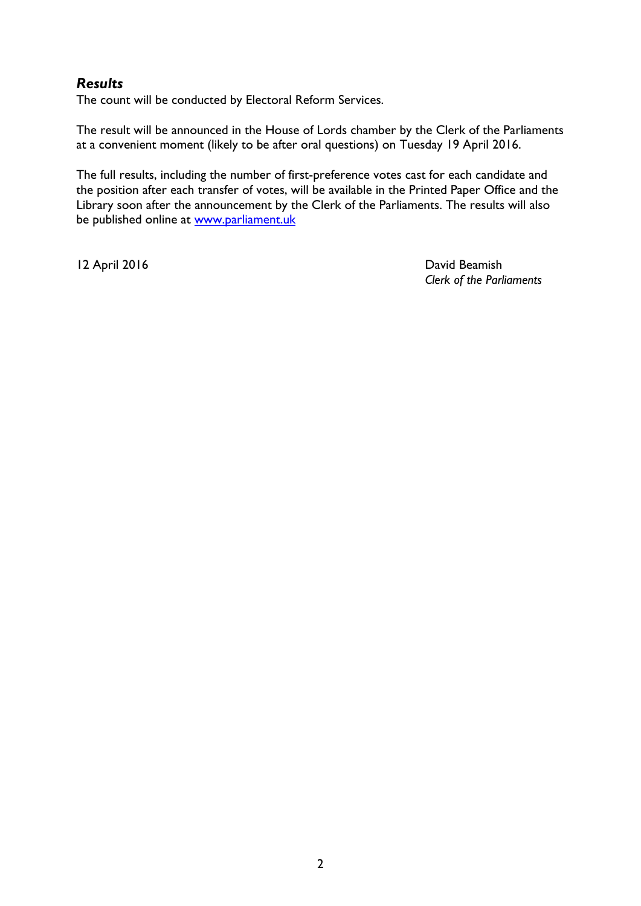## *Results*

The count will be conducted by Electoral Reform Services.

The result will be announced in the House of Lords chamber by the Clerk of the Parliaments at a convenient moment (likely to be after oral questions) on Tuesday 19 April 2016.

The full results, including the number of first-preference votes cast for each candidate and the position after each transfer of votes, will be available in the Printed Paper Office and the Library soon after the announcement by the Clerk of the Parliaments. The results will also be published online at [www.parliament.uk](http://www.parliament.uk/)

12 April 2016 **David Beamish** *Clerk of the Parliaments*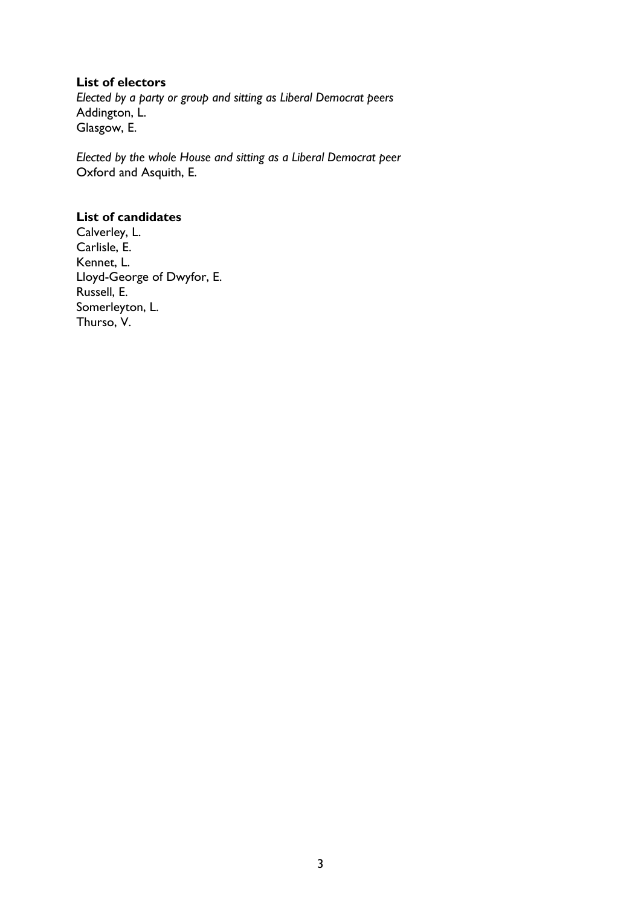#### **List of electors**

*Elected by a party or group and sitting as Liberal Democrat peers* Addington, L. Glasgow, E.

*Elected by the whole House and sitting as a Liberal Democrat peer* Oxford and Asquith, E.

## **List of candidates**

Calverley, L. Carlisle, E. Kennet, L. Lloyd-George of Dwyfor, E. Russell, E. Somerleyton, L. Thurso, V.